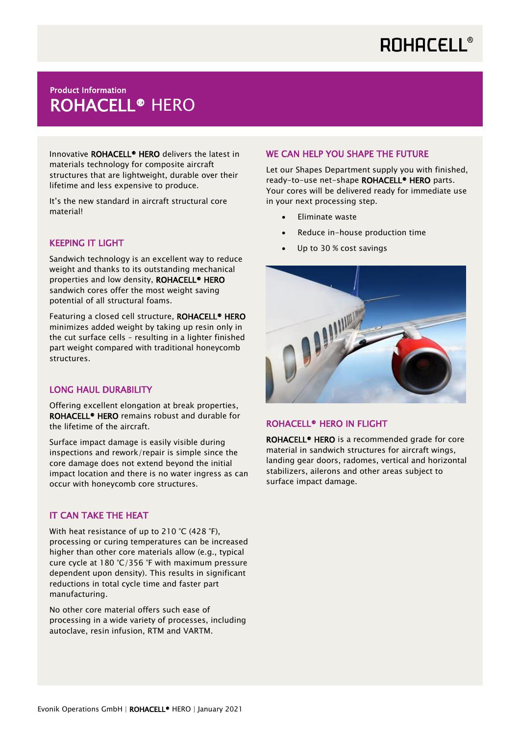# **ROHACELL®**

# **TEGGACE INFORMATION INCORPORATION INCORPORATION IN THE READ TEAM** Product Information

Innovative ROHACELL® HERO delivers the latest in materials technology for composite aircraft structures that are lightweight, durable over their lifetime and less expensive to produce.

It's the new standard in aircraft structural core material!

## KEEPING IT LIGHT

Sandwich technology is an excellent way to reduce weight and thanks to its outstanding mechanical properties and low density, ROHACELL<sup>®</sup> HERO sandwich cores offer the most weight saving potential of all structural foams.

Featuring a closed cell structure, ROHACELL® HERO minimizes added weight by taking up resin only in the cut surface cells – resulting in a lighter finished part weight compared with traditional honeycomb structures.

#### LONG HAUL DURABILITY

Offering excellent elongation at break properties, ROHACELL® HERO remains robust and durable for the lifetime of the aircraft.

Surface impact damage is easily visible during inspections and rework/repair is simple since the core damage does not extend beyond the initial impact location and there is no water ingress as can occur with honeycomb core structures.

### IT CAN TAKE THE HEAT

With heat resistance of up to 210 °C (428 °F), processing or curing temperatures can be increased higher than other core materials allow (e.g., typical cure cycle at 180 °C/356 °F with maximum pressure dependent upon density). This results in significant reductions in total cycle time and faster part manufacturing.

No other core material offers such ease of processing in a wide variety of processes, including autoclave, resin infusion, RTM and VARTM.

## WE CAN HELP YOU SHAPE THE FUTURE

Let our Shapes Department supply you with finished, ready-to-use net-shape ROHACELL® HERO parts. Your cores will be delivered ready for immediate use in your next processing step.

- Eliminate waste
- Reduce in-house production time
- Up to 30 % cost savings



#### ROHACELL® HERO IN FLIGHT

ROHACELL<sup>®</sup> HERO is a recommended grade for core material in sandwich structures for aircraft wings, landing gear doors, radomes, vertical and horizontal stabilizers, ailerons and other areas subject to surface impact damage.